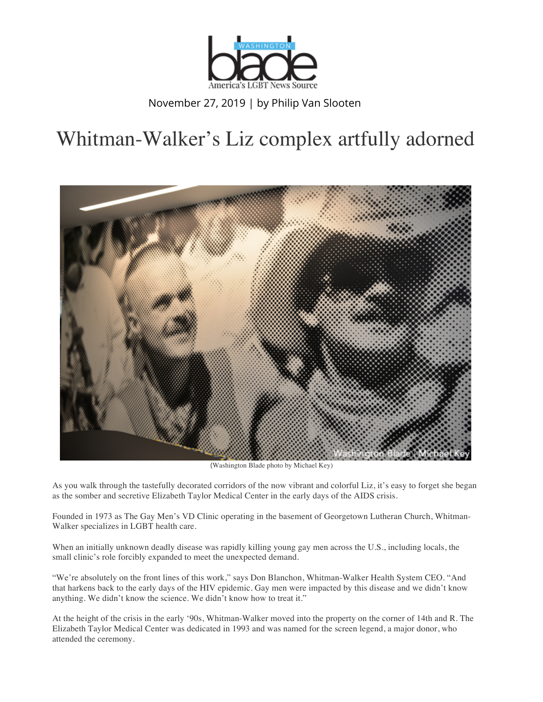

November 27, 2019 | by Philip Van Slooten

## Whitman-Walker's Liz complex artfully adorned



(Washington Blade photo by Michael Key)

As you walk through the tastefully decorated corridors of the now vibrant and colorful Liz, it's easy to forget she began as the somber and secretive Elizabeth Taylor Medical Center in the early days of the AIDS crisis.

Founded in 1973 as The Gay Men's VD Clinic operating in the basement of Georgetown Lutheran Church, Whitman-Walker specializes in LGBT health care.

When an initially unknown deadly disease was rapidly killing young gay men across the U.S., including locals, the small clinic's role forcibly expanded to meet the unexpected demand.

"We're absolutely on the front lines of this work," says Don Blanchon, Whitman-Walker Health System CEO. "And that harkens back to the early days of the HIV epidemic. Gay men were impacted by this disease and we didn't know anything. We didn't know the science. We didn't know how to treat it."

At the height of the crisis in the early '90s, Whitman-Walker moved into the property on the corner of 14th and R. The Elizabeth Taylor Medical Center was dedicated in 1993 and was named for the screen legend, a major donor, who attended the ceremony.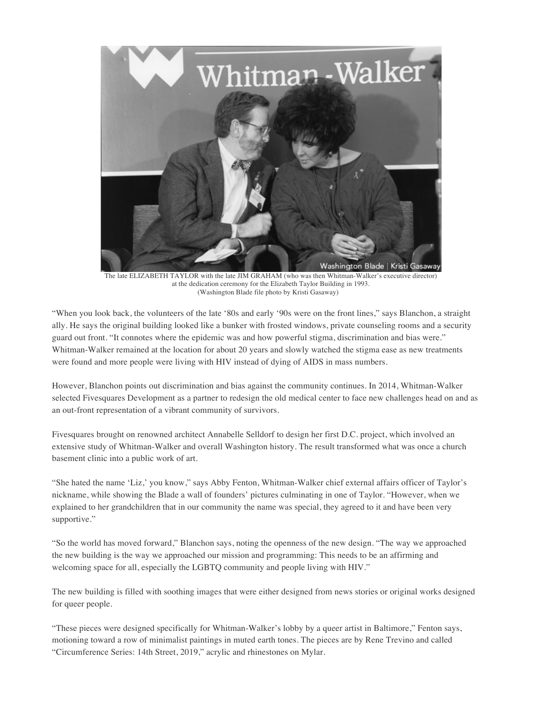![](_page_1_Picture_0.jpeg)

 The late ELIZABETH TAYLOR with the late JIM GRAHAM (who was then Whitman-Walker's executive director) at the dedication ceremony for the Elizabeth Taylor Building in 1993. (Washington Blade file photo by Kristi Gasaway)

"When you look back, the volunteers of the late '80s and early '90s were on the front lines," says Blanchon, a straight ally. He says the original building looked like a bunker with frosted windows, private counseling rooms and a security guard out front. "It connotes where the epidemic was and how powerful stigma, discrimination and bias were." Whitman-Walker remained at the location for about 20 years and slowly watched the stigma ease as new treatments were found and more people were living with HIV instead of dying of AIDS in mass numbers.

However, Blanchon points out discrimination and bias against the community continues. In 2014, Whitman-Walker selected Fivesquares Development as a partner to redesign the old medical center to face new challenges head on and as an out-front representation of a vibrant community of survivors.

Fivesquares brought on renowned architect Annabelle Selldorf to design her first D.C. project, which involved an extensive study of Whitman-Walker and overall Washington history. The result transformed what was once a church basement clinic into a public work of art.

"She hated the name 'Liz,' you know," says Abby Fenton, Whitman-Walker chief external affairs officer of Taylor's nickname, while showing the Blade a wall of founders' pictures culminating in one of Taylor. "However, when we explained to her grandchildren that in our community the name was special, they agreed to it and have been very supportive."

"So the world has moved forward," Blanchon says, noting the openness of the new design. "The way we approached the new building is the way we approached our mission and programming: This needs to be an affirming and welcoming space for all, especially the LGBTQ community and people living with HIV."

The new building is filled with soothing images that were either designed from news stories or original works designed for queer people.

"These pieces were designed specifically for Whitman-Walker's lobby by a queer artist in Baltimore," Fenton says, motioning toward a row of minimalist paintings in muted earth tones. The pieces are by Rene Trevino and called "Circumference Series: 14th Street, 2019," acrylic and rhinestones on Mylar.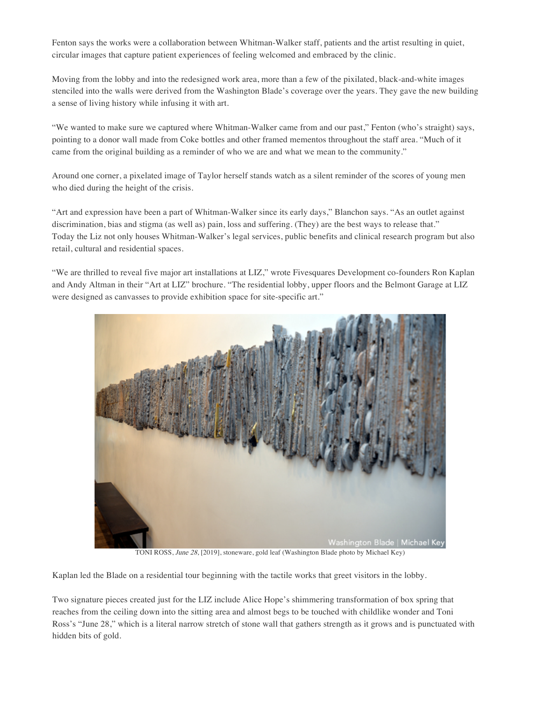Fenton says the works were a collaboration between Whitman-Walker staff, patients and the artist resulting in quiet, circular images that capture patient experiences of feeling welcomed and embraced by the clinic.

Moving from the lobby and into the redesigned work area, more than a few of the pixilated, black-and-white images stenciled into the walls were derived from the Washington Blade's coverage over the years. They gave the new building a sense of living history while infusing it with art.

"We wanted to make sure we captured where Whitman-Walker came from and our past," Fenton (who's straight) says, pointing to a donor wall made from Coke bottles and other framed mementos throughout the staff area. "Much of it came from the original building as a reminder of who we are and what we mean to the community."

Around one corner, a pixelated image of Taylor herself stands watch as a silent reminder of the scores of young men who died during the height of the crisis.

"Art and expression have been a part of Whitman-Walker since its early days," Blanchon says. "As an outlet against discrimination, bias and stigma (as well as) pain, loss and suffering. (They) are the best ways to release that." Today the Liz not only houses Whitman-Walker's legal services, public benefits and clinical research program but also retail, cultural and residential spaces.

"We are thrilled to reveal five major art installations at LIZ," wrote Fivesquares Development co-founders Ron Kaplan and Andy Altman in their "Art at LIZ" brochure. "The residential lobby, upper floors and the Belmont Garage at LIZ were designed as canvasses to provide exhibition space for site-specific art."

![](_page_2_Picture_6.jpeg)

Kaplan led the Blade on a residential tour beginning with the tactile works that greet visitors in the lobby.

Two signature pieces created just for the LIZ include Alice Hope's shimmering transformation of box spring that reaches from the ceiling down into the sitting area and almost begs to be touched with childlike wonder and Toni Ross's "June 28," which is a literal narrow stretch of stone wall that gathers strength as it grows and is punctuated with hidden bits of gold.